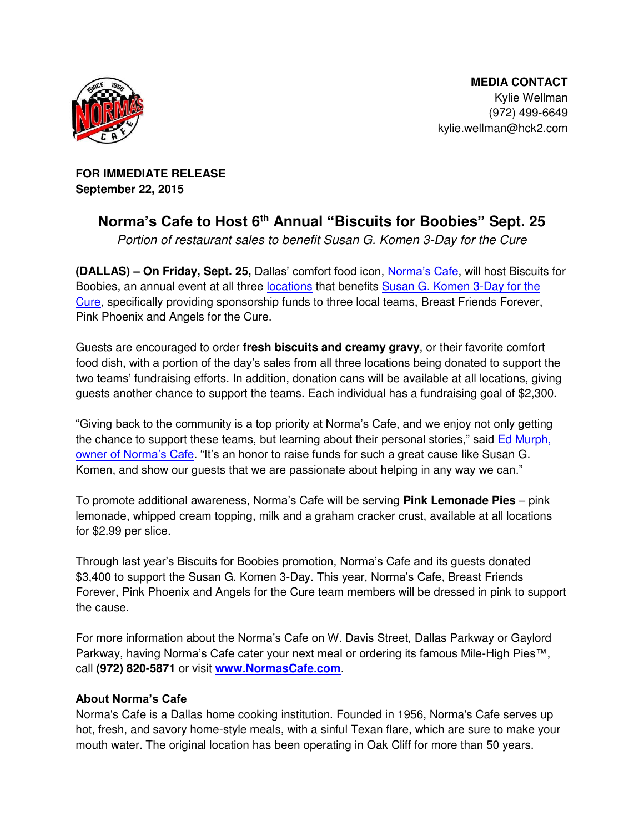

 **MEDIA CONTACT**  Kylie Wellman (972) 499-6649 kylie.wellman@hck2.com

**FOR IMMEDIATE RELEASE September 22, 2015** 

## **Norma's Cafe to Host 6 th Annual "Biscuits for Boobies" Sept. 25**

*Portion of restaurant sales to benefit Susan G. Komen 3-Day for the Cure* 

**(DALLAS) – On Friday, Sept. 25,** Dallas' comfort food icon, [Norma's Cafe](http://normascafe.com/), will host Biscuits for Boobies, an annual event at all three [locations](http://normascafe.com/locations/) that benefits [Susan G. Komen 3-Day for the](http://www.the3day.org/site/PageServer)  [Cure,](http://www.the3day.org/site/PageServer) specifically providing sponsorship funds to three local teams, Breast Friends Forever, Pink Phoenix and Angels for the Cure.

Guests are encouraged to order **fresh biscuits and creamy gravy**, or their favorite comfort food dish, with a portion of the day's sales from all three locations being donated to support the two teams' fundraising efforts. In addition, donation cans will be available at all locations, giving guests another chance to support the teams. Each individual has a fundraising goal of \$2,300.

"Giving back to the community is a top priority at Norma's Cafe, and we enjoy not only getting the chance to support these teams, but learning about their personal stories," said [Ed Murph,](http://www.normascafe.com/about/)  [owner of Norma's Cafe.](http://www.normascafe.com/about/) "It's an honor to raise funds for such a great cause like Susan G. Komen, and show our guests that we are passionate about helping in any way we can."

To promote additional awareness, Norma's Cafe will be serving **Pink Lemonade Pies** – pink lemonade, whipped cream topping, milk and a graham cracker crust, available at all locations for \$2.99 per slice.

Through last year's Biscuits for Boobies promotion, Norma's Cafe and its guests donated \$3,400 to support the Susan G. Komen 3-Day. This year, Norma's Cafe, Breast Friends Forever, Pink Phoenix and Angels for the Cure team members will be dressed in pink to support the cause.

For more information about the Norma's Cafe on W. Davis Street, Dallas Parkway or Gaylord Parkway, having Norma's Cafe cater your next meal or ordering its famous Mile-High Pies™, call **(972) 820-5871** or visit **[www.NormasCafe.com](http://www.normascafe.com/)**.

## **About Norma's Cafe**

Norma's Cafe is a Dallas home cooking institution. Founded in 1956, Norma's Cafe serves up hot, fresh, and savory home-style meals, with a sinful Texan flare, which are sure to make your mouth water. The original location has been operating in Oak Cliff for more than 50 years.